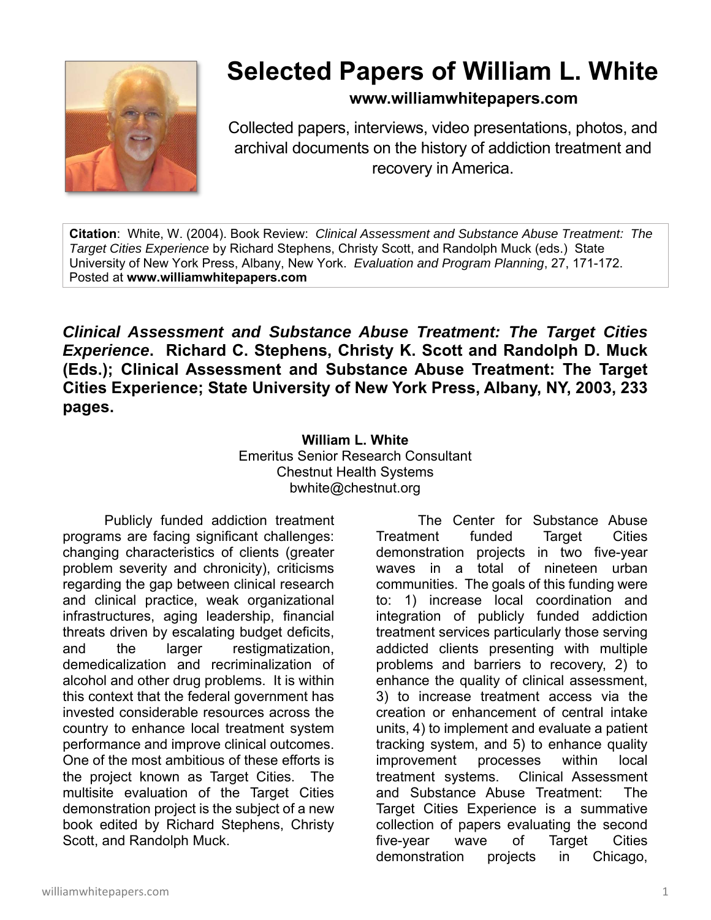

## **Selected Papers of William L. White**

**www.williamwhitepapers.com**

Collected papers, interviews, video presentations, photos, and archival documents on the history of addiction treatment and recovery in America.

**Citation**: White, W. (2004). Book Review: *Clinical Assessment and Substance Abuse Treatment: The Target Cities Experience* by Richard Stephens, Christy Scott, and Randolph Muck (eds.) State University of New York Press, Albany, New York. *Evaluation and Program Planning*, 27, 171-172. Posted at **www.williamwhitepapers.com** 

*Clinical Assessment and Substance Abuse Treatment: The Target Cities Experience***. Richard C. Stephens, Christy K. Scott and Randolph D. Muck (Eds.); Clinical Assessment and Substance Abuse Treatment: The Target Cities Experience; State University of New York Press, Albany, NY, 2003, 233 pages.** 

## **William L. White**  Emeritus Senior Research Consultant Chestnut Health Systems bwhite@chestnut.org

Publicly funded addiction treatment programs are facing significant challenges: changing characteristics of clients (greater problem severity and chronicity), criticisms regarding the gap between clinical research and clinical practice, weak organizational infrastructures, aging leadership, financial threats driven by escalating budget deficits, and the larger restigmatization, demedicalization and recriminalization of alcohol and other drug problems. It is within this context that the federal government has invested considerable resources across the country to enhance local treatment system performance and improve clinical outcomes. One of the most ambitious of these efforts is the project known as Target Cities. The multisite evaluation of the Target Cities demonstration project is the subject of a new book edited by Richard Stephens, Christy Scott, and Randolph Muck.

 The Center for Substance Abuse Treatment funded Target Cities demonstration projects in two five-year waves in a total of nineteen urban communities. The goals of this funding were to: 1) increase local coordination and integration of publicly funded addiction treatment services particularly those serving addicted clients presenting with multiple problems and barriers to recovery, 2) to enhance the quality of clinical assessment, 3) to increase treatment access via the creation or enhancement of central intake units, 4) to implement and evaluate a patient tracking system, and 5) to enhance quality improvement processes within local treatment systems. Clinical Assessment and Substance Abuse Treatment: The Target Cities Experience is a summative collection of papers evaluating the second five-year wave of Target Cities demonstration projects in Chicago,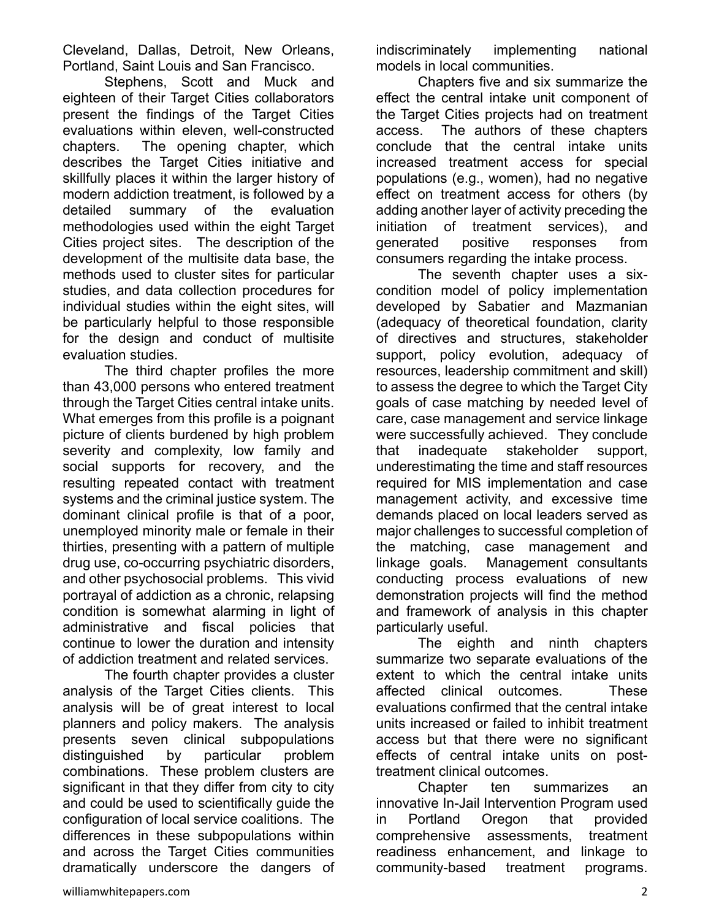Cleveland, Dallas, Detroit, New Orleans, Portland, Saint Louis and San Francisco.

Stephens, Scott and Muck and eighteen of their Target Cities collaborators present the findings of the Target Cities evaluations within eleven, well-constructed chapters. The opening chapter, which describes the Target Cities initiative and skillfully places it within the larger history of modern addiction treatment, is followed by a detailed summary of the evaluation methodologies used within the eight Target Cities project sites. The description of the development of the multisite data base, the methods used to cluster sites for particular studies, and data collection procedures for individual studies within the eight sites, will be particularly helpful to those responsible for the design and conduct of multisite evaluation studies.

The third chapter profiles the more than 43,000 persons who entered treatment through the Target Cities central intake units. What emerges from this profile is a poignant picture of clients burdened by high problem severity and complexity, low family and social supports for recovery, and the resulting repeated contact with treatment systems and the criminal justice system. The dominant clinical profile is that of a poor, unemployed minority male or female in their thirties, presenting with a pattern of multiple drug use, co-occurring psychiatric disorders, and other psychosocial problems. This vivid portrayal of addiction as a chronic, relapsing condition is somewhat alarming in light of administrative and fiscal policies that continue to lower the duration and intensity of addiction treatment and related services.

The fourth chapter provides a cluster analysis of the Target Cities clients. This analysis will be of great interest to local planners and policy makers. The analysis presents seven clinical subpopulations distinguished by particular problem combinations. These problem clusters are significant in that they differ from city to city and could be used to scientifically guide the configuration of local service coalitions. The differences in these subpopulations within and across the Target Cities communities dramatically underscore the dangers of indiscriminately implementing national models in local communities.

 Chapters five and six summarize the effect the central intake unit component of the Target Cities projects had on treatment access. The authors of these chapters conclude that the central intake units increased treatment access for special populations (e.g., women), had no negative effect on treatment access for others (by adding another layer of activity preceding the initiation of treatment services), and generated positive responses from consumers regarding the intake process.

 The seventh chapter uses a sixcondition model of policy implementation developed by Sabatier and Mazmanian (adequacy of theoretical foundation, clarity of directives and structures, stakeholder support, policy evolution, adequacy of resources, leadership commitment and skill) to assess the degree to which the Target City goals of case matching by needed level of care, case management and service linkage were successfully achieved. They conclude that inadequate stakeholder support, underestimating the time and staff resources required for MIS implementation and case management activity, and excessive time demands placed on local leaders served as major challenges to successful completion of the matching, case management and linkage goals. Management consultants conducting process evaluations of new demonstration projects will find the method and framework of analysis in this chapter particularly useful.

 The eighth and ninth chapters summarize two separate evaluations of the extent to which the central intake units affected clinical outcomes. These evaluations confirmed that the central intake units increased or failed to inhibit treatment access but that there were no significant effects of central intake units on posttreatment clinical outcomes.

 Chapter ten summarizes an innovative In-Jail Intervention Program used in Portland Oregon that provided comprehensive assessments, treatment readiness enhancement, and linkage to community-based treatment programs.